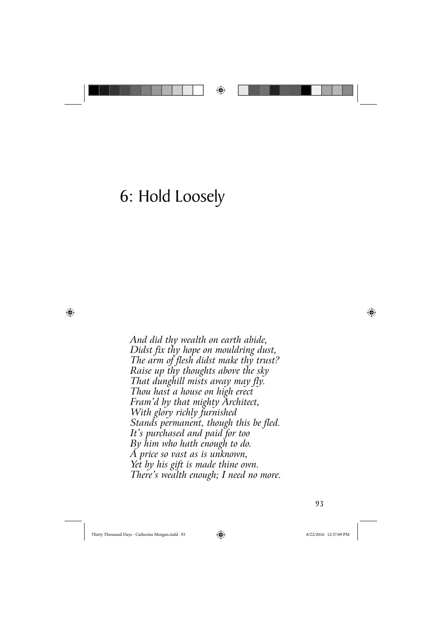

## 6: Hold Loosely

 $\bigoplus$ 

*And did thy wealth on earth abide, Didst fix thy hope on mouldring dust, The arm of flesh didst make thy trust? Raise up thy thoughts above the sky That dunghill mists away may fly. Thou hast a house on high erect Fram'd by that mighty Architect, With glory richly furnished Stands permanent, though this be fled. It's purchased and paid for too By him who hath enough to do. A price so vast as is unknown, Yet by his gift is made thine own. There's wealth enough; I need no more.*

Thirty Thousand Days - Catherine Morgan.indd 93  $\bigoplus$  8/22/2016 12:57:09 PM

⊕

93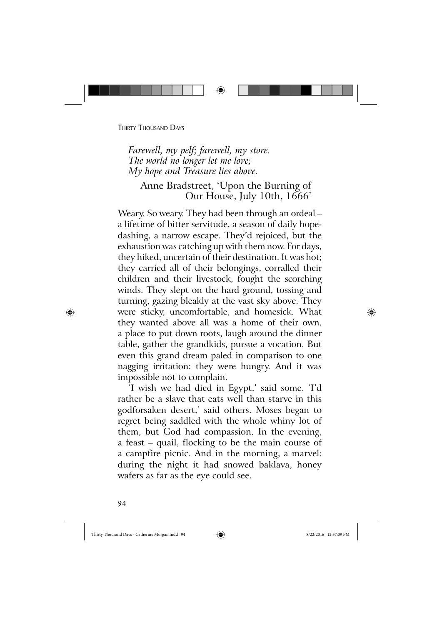

*Farewell, my pelf; farewell, my store. The world no longer let me love; My hope and Treasure lies above.*

Anne Bradstreet, 'Upon the Burning of Our House, July 10th, 1666'

Weary. So weary. They had been through an ordeal – a lifetime of bitter servitude, a season of daily hopedashing, a narrow escape. They'd rejoiced, but the exhaustion was catching up with them now. For days, they hiked, uncertain of their destination. It was hot; they carried all of their belongings, corralled their children and their livestock, fought the scorching winds. They slept on the hard ground, tossing and turning, gazing bleakly at the vast sky above. They were sticky, uncomfortable, and homesick. What they wanted above all was a home of their own, a place to put down roots, laugh around the dinner table, gather the grandkids, pursue a vocation. But even this grand dream paled in comparison to one nagging irritation: they were hungry. And it was impossible not to complain.

'I wish we had died in Egypt,' said some. 'I'd rather be a slave that eats well than starve in this godforsaken desert,' said others. Moses began to regret being saddled with the whole whiny lot of them, but God had compassion. In the evening, a feast – quail, flocking to be the main course of a campfire picnic. And in the morning, a marvel: during the night it had snowed baklava, honey wafers as far as the eye could see.

94

⊕

Thirty Thousand Days - Catherine Morgan.indd 94 **1236** hirty 8/22/2016 12:57:09 PM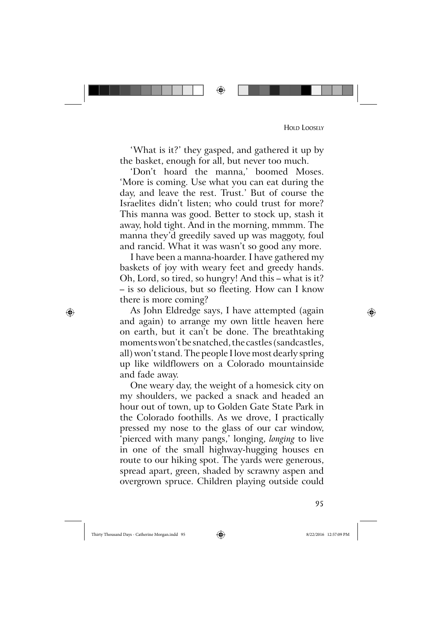'What is it?' they gasped, and gathered it up by the basket, enough for all, but never too much.

⊕

'Don't hoard the manna,' boomed Moses. 'More is coming. Use what you can eat during the day, and leave the rest. Trust.' But of course the Israelites didn't listen; who could trust for more? This manna was good. Better to stock up, stash it away, hold tight. And in the morning, mmmm. The manna they'd greedily saved up was maggoty, foul and rancid. What it was wasn't so good any more.

I have been a manna-hoarder. I have gathered my baskets of joy with weary feet and greedy hands. Oh, Lord, so tired, so hungry! And this – what is it? – is so delicious, but so fleeting. How can I know there is more coming?

As John Eldredge says, I have attempted (again and again) to arrange my own little heaven here on earth, but it can't be done. The breathtaking moments won't be snatched, the castles (sandcastles, all) won't stand. The people I love most dearly spring up like wildflowers on a Colorado mountainside and fade away.

One weary day, the weight of a homesick city on my shoulders, we packed a snack and headed an hour out of town, up to Golden Gate State Park in the Colorado foothills. As we drove, I practically pressed my nose to the glass of our car window, 'pierced with many pangs,' longing, *longing* to live in one of the small highway-hugging houses en route to our hiking spot. The yards were generous, spread apart, green, shaded by scrawny aspen and overgrown spruce. Children playing outside could

⊕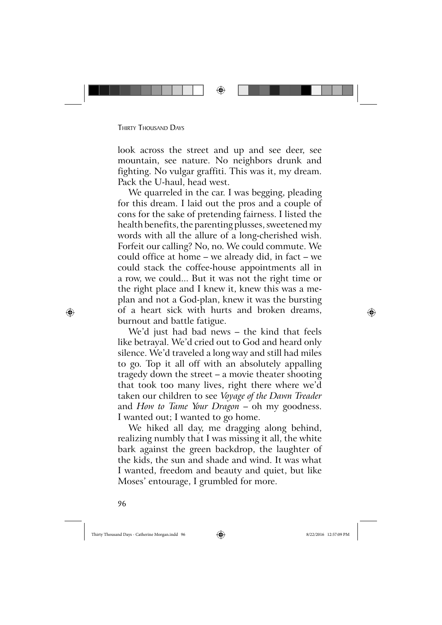

look across the street and up and see deer, see mountain, see nature. No neighbors drunk and fighting. No vulgar graffiti. This was it, my dream. Pack the U-haul, head west.

We quarreled in the car. I was begging, pleading for this dream. I laid out the pros and a couple of cons for the sake of pretending fairness. I listed the health benefits, the parenting plusses, sweetened my words with all the allure of a long-cherished wish. Forfeit our calling? No, no. We could commute. We could office at home – we already did, in fact – we could stack the coffee-house appointments all in a row, we could... But it was not the right time or the right place and I knew it, knew this was a meplan and not a God-plan, knew it was the bursting of a heart sick with hurts and broken dreams, burnout and battle fatigue.

We'd just had bad news – the kind that feels like betrayal. We'd cried out to God and heard only silence. We'd traveled a long way and still had miles to go. Top it all off with an absolutely appalling tragedy down the street – a movie theater shooting that took too many lives, right there where we'd taken our children to see *Voyage of the Dawn Treader* and *How to Tame Your Dragon* – oh my goodness. I wanted out; I wanted to go home.

We hiked all day, me dragging along behind, realizing numbly that I was missing it all, the white bark against the green backdrop, the laughter of the kids, the sun and shade and wind. It was what I wanted, freedom and beauty and quiet, but like Moses' entourage, I grumbled for more.

96

⊕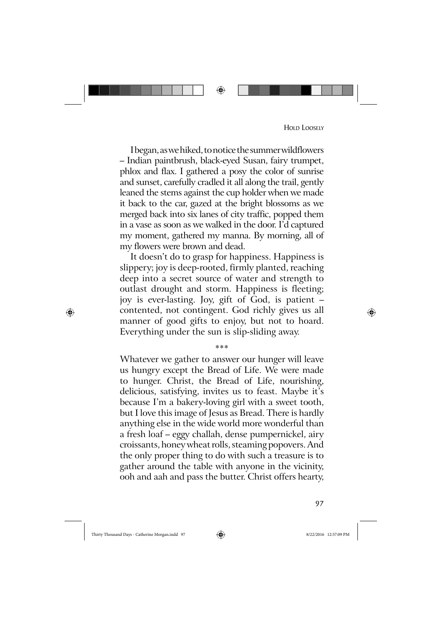I began, as we hiked, to notice the summer wildflowers – Indian paintbrush, black-eyed Susan, fairy trumpet, phlox and flax. I gathered a posy the color of sunrise and sunset, carefully cradled it all along the trail, gently leaned the stems against the cup holder when we made it back to the car, gazed at the bright blossoms as we merged back into six lanes of city traffic, popped them in a vase as soon as we walked in the door. I'd captured my moment, gathered my manna. By morning, all of my flowers were brown and dead.

⊕

It doesn't do to grasp for happiness. Happiness is slippery; joy is deep-rooted, firmly planted, reaching deep into a secret source of water and strength to outlast drought and storm. Happiness is fleeting; joy is ever-lasting. Joy, gift of God, is patient – contented, not contingent. God richly gives us all manner of good gifts to enjoy, but not to hoard. Everything under the sun is slip-sliding away.

## \*\*\*

Whatever we gather to answer our hunger will leave us hungry except the Bread of Life. We were made to hunger. Christ, the Bread of Life, nourishing, delicious, satisfying, invites us to feast. Maybe it's because I'm a bakery-loving girl with a sweet tooth, but I love this image of Jesus as Bread. There is hardly anything else in the wide world more wonderful than a fresh loaf – eggy challah, dense pumpernickel, airy croissants, honey wheat rolls, steaming popovers. And the only proper thing to do with such a treasure is to gather around the table with anyone in the vicinity, ooh and aah and pass the butter. Christ offers hearty,

⊕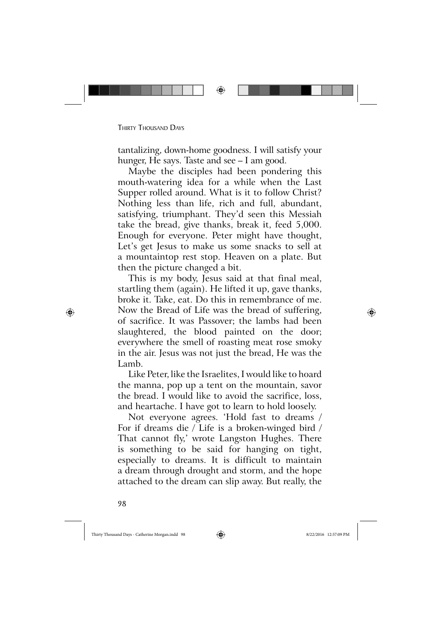

tantalizing, down-home goodness. I will satisfy your hunger, He says. Taste and see – I am good.

Maybe the disciples had been pondering this mouth-watering idea for a while when the Last Supper rolled around. What is it to follow Christ? Nothing less than life, rich and full, abundant, satisfying, triumphant. They'd seen this Messiah take the bread, give thanks, break it, feed 5,000. Enough for everyone. Peter might have thought, Let's get Jesus to make us some snacks to sell at a mountaintop rest stop. Heaven on a plate. But then the picture changed a bit.

This is my body, Jesus said at that final meal, startling them (again). He lifted it up, gave thanks, broke it. Take, eat. Do this in remembrance of me. Now the Bread of Life was the bread of suffering, of sacrifice. It was Passover; the lambs had been slaughtered, the blood painted on the door; everywhere the smell of roasting meat rose smoky in the air. Jesus was not just the bread, He was the Lamb.

Like Peter, like the Israelites, I would like to hoard the manna, pop up a tent on the mountain, savor the bread. I would like to avoid the sacrifice, loss, and heartache. I have got to learn to hold loosely.

Not everyone agrees. 'Hold fast to dreams / For if dreams die / Life is a broken-winged bird / That cannot fly,' wrote Langston Hughes. There is something to be said for hanging on tight, especially to dreams. It is difficult to maintain a dream through drought and storm, and the hope attached to the dream can slip away. But really, the

⊕

Thirty Thousand Days - Catherine Morgan.indd 98 **hirty** 8/22/2016 12:57:09 PM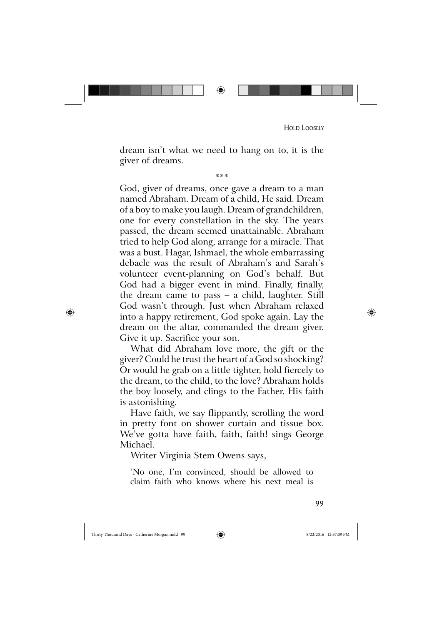dream isn't what we need to hang on to, it is the giver of dreams.

⊕

\*\*\*

God, giver of dreams, once gave a dream to a man named Abraham. Dream of a child, He said. Dream of a boy to make you laugh. Dream of grandchildren, one for every constellation in the sky. The years passed, the dream seemed unattainable. Abraham tried to help God along, arrange for a miracle. That was a bust. Hagar, Ishmael, the whole embarrassing debacle was the result of Abraham's and Sarah's volunteer event-planning on God's behalf. But God had a bigger event in mind. Finally, finally, the dream came to pass – a child, laughter. Still God wasn't through. Just when Abraham relaxed into a happy retirement, God spoke again. Lay the dream on the altar, commanded the dream giver. Give it up. Sacrifice your son.

What did Abraham love more, the gift or the giver? Could he trust the heart of a God so shocking? Or would he grab on a little tighter, hold fiercely to the dream, to the child, to the love? Abraham holds the boy loosely, and clings to the Father. His faith is astonishing.

Have faith, we say flippantly, scrolling the word in pretty font on shower curtain and tissue box. We've gotta have faith, faith, faith! sings George Michael.

Writer Virginia Stem Owens says,

'No one, I'm convinced, should be allowed to claim faith who knows where his next meal is

⊕

◈

99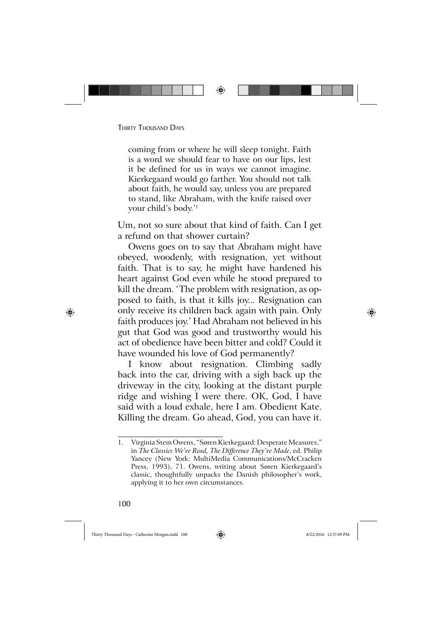

coming from or where he will sleep tonight. Faith is a word we should fear to have on our lips, lest it be defined for us in ways we cannot imagine. Kierkegaard would go farther. You should not talk about faith, he would say, unless you are prepared to stand, like Abraham, with the knife raised over your child's body.'1

Um, not so sure about that kind of faith. Can I get a refund on that shower curtain?

Owens goes on to say that Abraham might have obeyed, woodenly, with resignation, yet without faith. That is to say, he might have hardened his heart against God even while he stood prepared to kill the dream. 'The problem with resignation, as opposed to faith, is that it kills joy... Resignation can only receive its children back again with pain. Only faith produces joy.' Had Abraham not believed in his gut that God was good and trustworthy would his act of obedience have been bitter and cold? Could it have wounded his love of God permanently?

I know about resignation. Climbing sadly back into the car, driving with a sigh back up the driveway in the city, looking at the distant purple ridge and wishing I were there. OK, God, I have said with a loud exhale, here I am. Obedient Kate. Killing the dream. Go ahead, God, you can have it.

⊕

<sup>1.</sup> Virginia Stem Owens, "Søren Kierkegaard: Desperate Measures," in *The Classics We've Read, The Difference They've Made*, ed. Philip Yancey (New York: MultiMedia Communications/McCracken Press, 1993), 71. Owens, writing about Søren Kierkegaard's classic, thoughtfully unpacks the Danish philosopher's work, applying it to her own circumstances.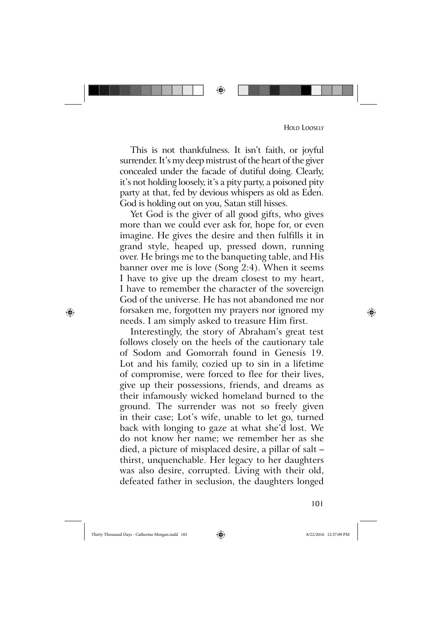This is not thankfulness. It isn't faith, or joyful surrender. It's my deep mistrust of the heart of the giver concealed under the facade of dutiful doing. Clearly, it's not holding loosely, it's a pity party, a poisoned pity party at that, fed by devious whispers as old as Eden. God is holding out on you, Satan still hisses.

⊕

Yet God is the giver of all good gifts, who gives more than we could ever ask for, hope for, or even imagine. He gives the desire and then fulfills it in grand style, heaped up, pressed down, running over. He brings me to the banqueting table, and His banner over me is love (Song 2:4). When it seems I have to give up the dream closest to my heart, I have to remember the character of the sovereign God of the universe. He has not abandoned me nor forsaken me, forgotten my prayers nor ignored my needs. I am simply asked to treasure Him first.

Interestingly, the story of Abraham's great test follows closely on the heels of the cautionary tale of Sodom and Gomorrah found in Genesis 19. Lot and his family, cozied up to sin in a lifetime of compromise, were forced to flee for their lives, give up their possessions, friends, and dreams as their infamously wicked homeland burned to the ground. The surrender was not so freely given in their case; Lot's wife, unable to let go, turned back with longing to gaze at what she'd lost. We do not know her name; we remember her as she died, a picture of misplaced desire, a pillar of salt – thirst, unquenchable. Her legacy to her daughters was also desire, corrupted. Living with their old, defeated father in seclusion, the daughters longed

⊕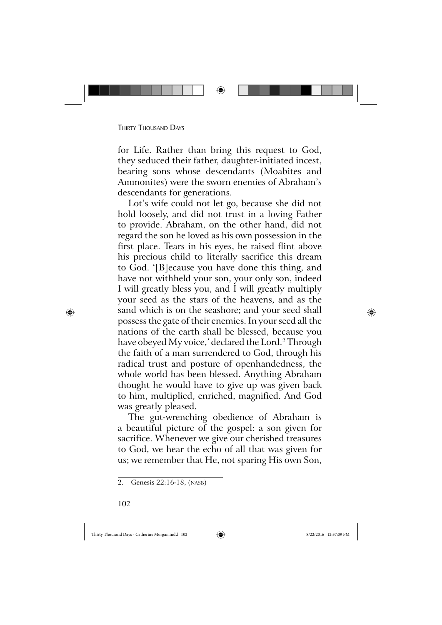

for Life. Rather than bring this request to God, they seduced their father, daughter-initiated incest, bearing sons whose descendants (Moabites and Ammonites) were the sworn enemies of Abraham's descendants for generations.

Lot's wife could not let go, because she did not hold loosely, and did not trust in a loving Father to provide. Abraham, on the other hand, did not regard the son he loved as his own possession in the first place. Tears in his eyes, he raised flint above his precious child to literally sacrifice this dream to God. '[B]ecause you have done this thing, and have not withheld your son, your only son, indeed I will greatly bless you, and I will greatly multiply your seed as the stars of the heavens, and as the sand which is on the seashore; and your seed shall possess the gate of their enemies. In your seed all the nations of the earth shall be blessed, because you have obeyed My voice,' declared the Lord.2 Through the faith of a man surrendered to God, through his radical trust and posture of openhandedness, the whole world has been blessed. Anything Abraham thought he would have to give up was given back to him, multiplied, enriched, magnified. And God was greatly pleased.

The gut-wrenching obedience of Abraham is a beautiful picture of the gospel: a son given for sacrifice. Whenever we give our cherished treasures to God, we hear the echo of all that was given for us; we remember that He, not sparing His own Son,

⊕

<sup>2.</sup> Genesis 22:16-18, (NASB)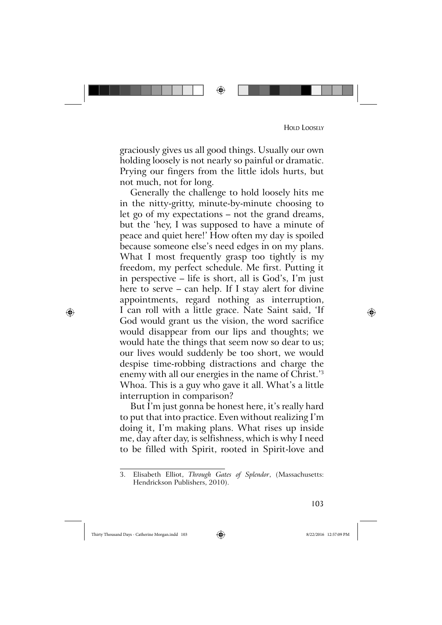graciously gives us all good things. Usually our own holding loosely is not nearly so painful or dramatic. Prying our fingers from the little idols hurts, but not much, not for long.

⊕

Generally the challenge to hold loosely hits me in the nitty-gritty, minute-by-minute choosing to let go of my expectations – not the grand dreams, but the 'hey, I was supposed to have a minute of peace and quiet here!' How often my day is spoiled because someone else's need edges in on my plans. What I most frequently grasp too tightly is my freedom, my perfect schedule. Me first. Putting it in perspective – life is short, all is God's, I'm just here to serve – can help. If I stay alert for divine appointments, regard nothing as interruption, I can roll with a little grace. Nate Saint said, 'If God would grant us the vision, the word sacrifice would disappear from our lips and thoughts; we would hate the things that seem now so dear to us; our lives would suddenly be too short, we would despise time-robbing distractions and charge the enemy with all our energies in the name of Christ.'3 Whoa. This is a guy who gave it all. What's a little interruption in comparison?

But I'm just gonna be honest here, it's really hard to put that into practice. Even without realizing I'm doing it, I'm making plans. What rises up inside me, day after day, is selfishness, which is why I need to be filled with Spirit, rooted in Spirit-love and

⊕

<sup>3.</sup> Elisabeth Elliot, *Through Gates of Splendor*, (Massachusetts: Hendrickson Publishers, 2010).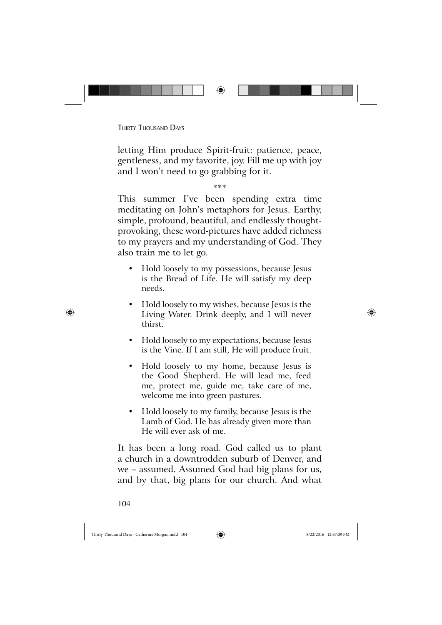

letting Him produce Spirit-fruit: patience, peace, gentleness, and my favorite, joy. Fill me up with joy and I won't need to go grabbing for it.

\*\*\*

This summer I've been spending extra time meditating on John's metaphors for Jesus. Earthy, simple, profound, beautiful, and endlessly thoughtprovoking, these word-pictures have added richness to my prayers and my understanding of God. They also train me to let go.

- Hold loosely to my possessions, because Jesus is the Bread of Life. He will satisfy my deep needs.
- Hold loosely to my wishes, because Jesus is the Living Water. Drink deeply, and I will never thirst.
- Hold loosely to my expectations, because Jesus is the Vine. If I am still, He will produce fruit.
- Hold loosely to my home, because Jesus is the Good Shepherd. He will lead me, feed me, protect me, guide me, take care of me, welcome me into green pastures.
- Hold loosely to my family, because Jesus is the Lamb of God. He has already given more than He will ever ask of me.

It has been a long road. God called us to plant a church in a downtrodden suburb of Denver, and we – assumed. Assumed God had big plans for us, and by that, big plans for our church. And what

104

⊕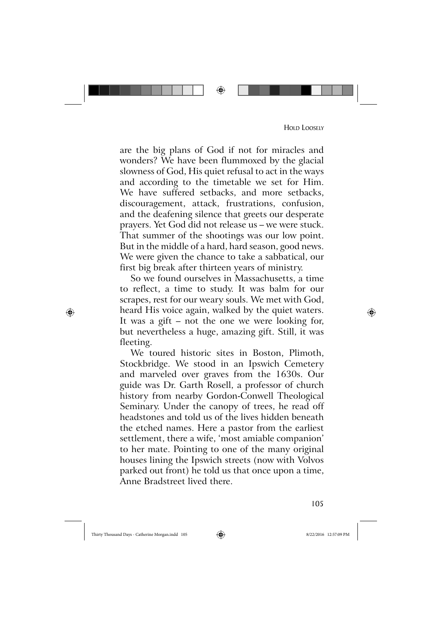are the big plans of God if not for miracles and wonders? We have been flummoxed by the glacial slowness of God, His quiet refusal to act in the ways and according to the timetable we set for Him. We have suffered setbacks, and more setbacks, discouragement, attack, frustrations, confusion, and the deafening silence that greets our desperate prayers. Yet God did not release us – we were stuck. That summer of the shootings was our low point. But in the middle of a hard, hard season, good news. We were given the chance to take a sabbatical, our first big break after thirteen years of ministry.

⊕

So we found ourselves in Massachusetts, a time to reflect, a time to study. It was balm for our scrapes, rest for our weary souls. We met with God, heard His voice again, walked by the quiet waters. It was a gift – not the one we were looking for, but nevertheless a huge, amazing gift. Still, it was fleeting.

We toured historic sites in Boston, Plimoth, Stockbridge. We stood in an Ipswich Cemetery and marveled over graves from the 1630s. Our guide was Dr. Garth Rosell, a professor of church history from nearby Gordon-Conwell Theological Seminary. Under the canopy of trees, he read off headstones and told us of the lives hidden beneath the etched names. Here a pastor from the earliest settlement, there a wife, 'most amiable companion' to her mate. Pointing to one of the many original houses lining the Ipswich streets (now with Volvos parked out front) he told us that once upon a time, Anne Bradstreet lived there.

⊕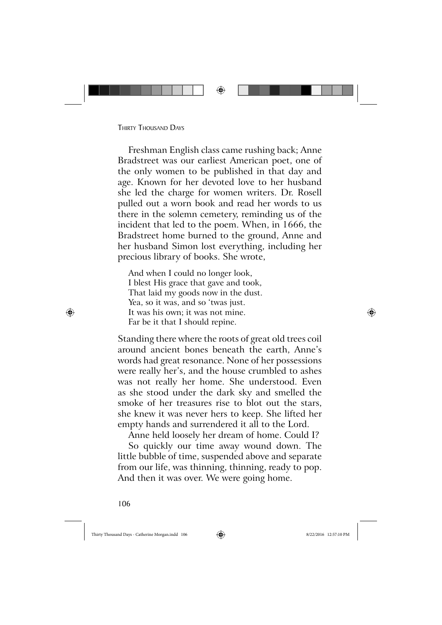

Freshman English class came rushing back; Anne Bradstreet was our earliest American poet, one of the only women to be published in that day and age. Known for her devoted love to her husband she led the charge for women writers. Dr. Rosell pulled out a worn book and read her words to us there in the solemn cemetery, reminding us of the incident that led to the poem. When, in 1666, the Bradstreet home burned to the ground, Anne and her husband Simon lost everything, including her precious library of books. She wrote,

And when I could no longer look, I blest His grace that gave and took, That laid my goods now in the dust. Yea, so it was, and so 'twas just. It was his own; it was not mine. Far be it that I should repine.

Standing there where the roots of great old trees coil around ancient bones beneath the earth, Anne's words had great resonance. None of her possessions were really her's, and the house crumbled to ashes was not really her home. She understood. Even as she stood under the dark sky and smelled the smoke of her treasures rise to blot out the stars, she knew it was never hers to keep. She lifted her empty hands and surrendered it all to the Lord.

Anne held loosely her dream of home. Could I?

So quickly our time away wound down. The little bubble of time, suspended above and separate from our life, was thinning, thinning, ready to pop. And then it was over. We were going home.

106

Thirty Thousand Days - Catherine Morgan.indd 106 **hirty** 8/22/2016 12:57:10 PM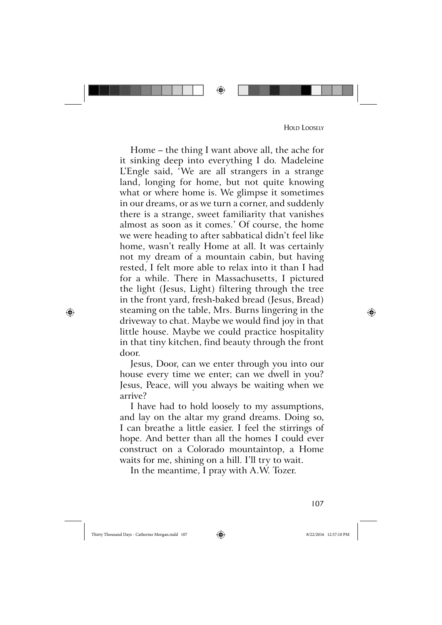Home – the thing I want above all, the ache for it sinking deep into everything I do. Madeleine L'Engle said, 'We are all strangers in a strange land, longing for home, but not quite knowing what or where home is. We glimpse it sometimes in our dreams, or as we turn a corner, and suddenly there is a strange, sweet familiarity that vanishes almost as soon as it comes.' Of course, the home we were heading to after sabbatical didn't feel like home, wasn't really Home at all. It was certainly not my dream of a mountain cabin, but having rested, I felt more able to relax into it than I had for a while. There in Massachusetts, I pictured the light (Jesus, Light) filtering through the tree in the front yard, fresh-baked bread (Jesus, Bread) steaming on the table, Mrs. Burns lingering in the driveway to chat. Maybe we would find joy in that little house. Maybe we could practice hospitality in that tiny kitchen, find beauty through the front door.

⊕

Jesus, Door, can we enter through you into our house every time we enter; can we dwell in you? Jesus, Peace, will you always be waiting when we arrive?

I have had to hold loosely to my assumptions, and lay on the altar my grand dreams. Doing so, I can breathe a little easier. I feel the stirrings of hope. And better than all the homes I could ever construct on a Colorado mountaintop, a Home waits for me, shining on a hill. I'll try to wait.

In the meantime, I pray with A.W. Tozer.

Thirty Thousand Days - Catherine Morgan.indd 107  $\bigoplus$  8/22/2016 12:57:10 PM

⊕